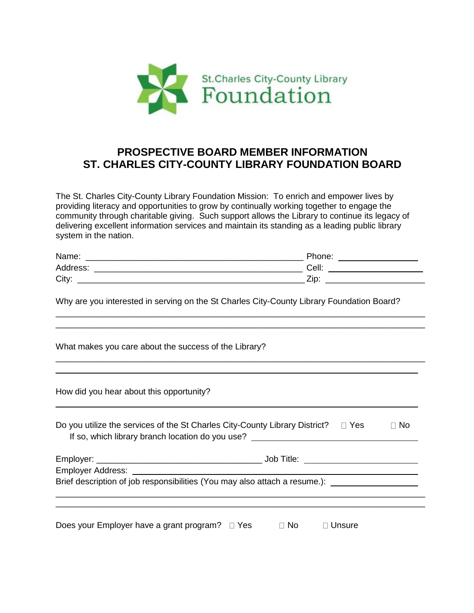

## **PROSPECTIVE BOARD MEMBER INFORMATION ST. CHARLES CITY-COUNTY LIBRARY FOUNDATION BOARD**

The St. Charles City-County Library Foundation Mission: To enrich and empower lives by providing literacy and opportunities to grow by continually working together to engage the community through charitable giving. Such support allows the Library to continue its legacy of delivering excellent information services and maintain its standing as a leading public library system in the nation.

| Name:    | Phone: |
|----------|--------|
| Address: | Cell:  |
| City:    | Zip    |

\_\_\_\_\_\_\_\_\_\_\_\_\_\_\_\_\_\_\_\_\_\_\_\_\_\_\_\_\_\_\_\_\_\_\_\_\_\_\_\_\_\_\_\_\_\_\_\_\_\_\_\_\_\_\_\_\_\_\_\_\_\_\_\_\_\_\_\_\_\_\_\_\_\_\_\_\_\_ \_\_\_\_\_\_\_\_\_\_\_\_\_\_\_\_\_\_\_\_\_\_\_\_\_\_\_\_\_\_\_\_\_\_\_\_\_\_\_\_\_\_\_\_\_\_\_\_\_\_\_\_\_\_\_\_\_\_\_\_\_\_\_\_\_\_\_\_\_\_\_\_\_\_\_\_\_\_

\_\_\_\_\_\_\_\_\_\_\_\_\_\_\_\_\_\_\_\_\_\_\_\_\_\_\_\_\_\_\_\_\_\_\_\_\_\_\_\_\_\_\_\_\_\_\_\_\_\_\_\_\_\_\_\_\_\_\_\_\_\_\_\_\_\_\_\_\_\_\_\_\_\_\_\_\_\_

Why are you interested in serving on the St Charles City-County Library Foundation Board?

What makes you care about the success of the Library?

How did you hear about this opportunity?

| Do you utilize the services of the St Charles City-County Library District? $\square$ Yes | ⊟ No |
|-------------------------------------------------------------------------------------------|------|
| If so, which library branch location do you use?                                          |      |

| Employer: ______________________________                                                             | Job Title: |  |
|------------------------------------------------------------------------------------------------------|------------|--|
|                                                                                                      |            |  |
| Brief description of job responsibilities (You may also attach a resume.): _________________________ |            |  |
|                                                                                                      |            |  |
|                                                                                                      |            |  |

Does your Employer have a grant program?  $\Box$  Yes  $\Box$  No  $\Box$  Unsure